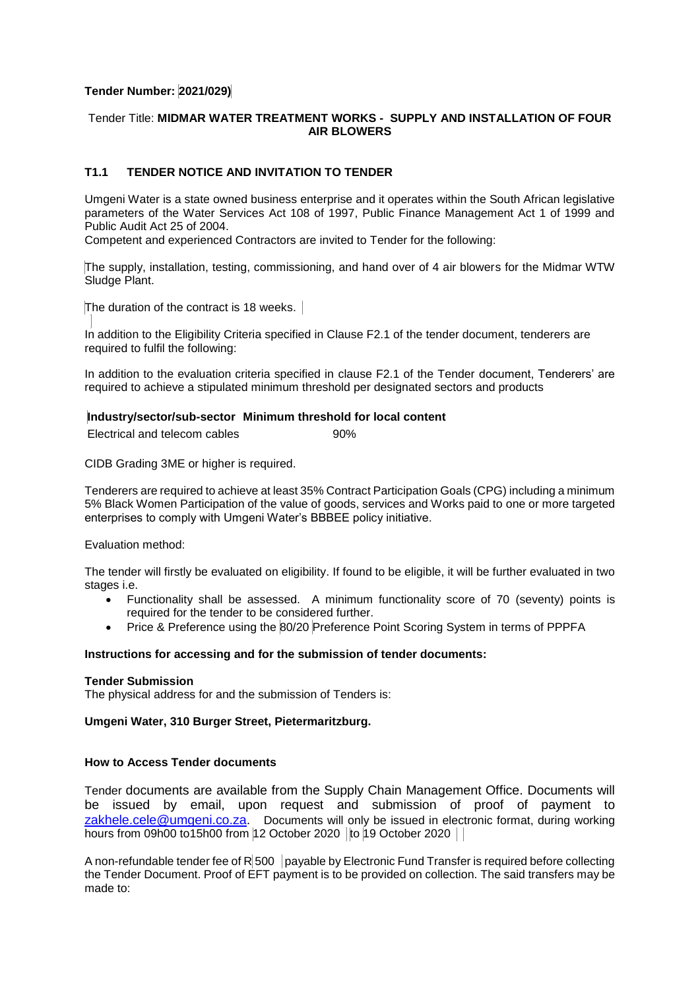## **Tender Number: 2021/029)**

### Tender Title: **MIDMAR WATER TREATMENT WORKS - SUPPLY AND INSTALLATION OF FOUR AIR BLOWERS**

# **T1.1 TENDER NOTICE AND INVITATION TO TENDER**

Umgeni Water is a state owned business enterprise and it operates within the South African legislative parameters of the Water Services Act 108 of 1997, Public Finance Management Act 1 of 1999 and Public Audit Act 25 of 2004.

Competent and experienced Contractors are invited to Tender for the following:

The supply, installation, testing, commissioning, and hand over of 4 air blowers for the Midmar WTW Sludge Plant.

The duration of the contract is 18 weeks.

In addition to the Eligibility Criteria specified in Clause F2.1 of the tender document, tenderers are required to fulfil the following:

In addition to the evaluation criteria specified in clause F2.1 of the Tender document, Tenderers' are required to achieve a stipulated minimum threshold per designated sectors and products

### **Industry/sector/sub-sector Minimum threshold for local content**

Electrical and telecom cables 60%

CIDB Grading 3ME or higher is required.

Tenderers are required to achieve at least 35% Contract Participation Goals (CPG) including a minimum 5% Black Women Participation of the value of goods, services and Works paid to one or more targeted enterprises to comply with Umgeni Water's BBBEE policy initiative.

Evaluation method:

The tender will firstly be evaluated on eligibility. If found to be eligible, it will be further evaluated in two stages i.e.

- Functionality shall be assessed. A minimum functionality score of 70 (seventy) points is required for the tender to be considered further.
- Price & Preference using the 80/20 Preference Point Scoring System in terms of PPPFA

## **Instructions for accessing and for the submission of tender documents:**

### **Tender Submission**

The physical address for and the submission of Tenders is:

## **Umgeni Water, 310 Burger Street, Pietermaritzburg.**

### **How to Access Tender documents**

Tender documents are available from the Supply Chain Management Office. Documents will be issued by email, upon request and submission of proof of payment to [zakhele.cele@umgeni.co.za.](mailto:zakhele.cele@umgeni.co.za) Documents will only be issued in electronic format, during working hours from 09h00 to15h00 from 12 October 2020  $|$  to 19 October 2020  $|$ 

A non-refundable tender fee of  $R$  500 payable by Electronic Fund Transfer is required before collecting the Tender Document. Proof of EFT payment is to be provided on collection. The said transfers may be made to: